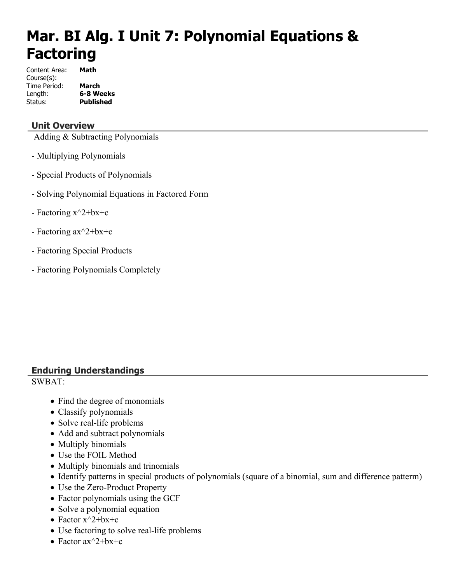# **Mar. BI Alg. I Unit 7: Polynomial Equations & Factoring**

| Content Area: | Math             |
|---------------|------------------|
| Course(s):    |                  |
| Time Period:  | March            |
| Length:       | 6-8 Weeks        |
| Status:       | <b>Published</b> |

# **Unit Overview**

Adding & Subtracting Polynomials

- Multiplying Polynomials
- Special Products of Polynomials
- Solving Polynomial Equations in Factored Form
- Factoring  $x^2+bx+c$
- Factoring ax^2+bx+c
- Factoring Special Products
- Factoring Polynomials Completely

# **Enduring Understandings**

SWBAT:

- Find the degree of monomials
- Classify polynomials
- Solve real-life problems
- Add and subtract polynomials
- Multiply binomials
- Use the FOIL Method
- Multiply binomials and trinomials
- Identify patterns in special products of polynomials (square of a binomial, sum and difference patterm)
- Use the Zero-Product Property
- Factor polynomials using the GCF
- Solve a polynomial equation
- Factor  $x^2+bx+c$
- Use factoring to solve real-life problems
- Factor  $ax^2+bx+c$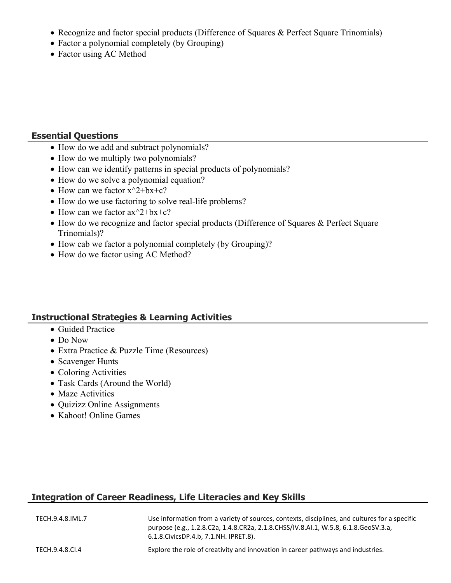- Recognize and factor special products (Difference of Squares & Perfect Square Trinomials)
- Factor a polynomial completely (by Grouping)
- Factor using AC Method

### **Essential Questions**

- How do we add and subtract polynomials?
- How do we multiply two polynomials?
- How can we identify patterns in special products of polynomials?
- How do we solve a polynomial equation?
- How can we factor  $x^2+bx+c$ ?
- How do we use factoring to solve real-life problems?
- How can we factor  $ax^2+bx+c$ ?
- How do we recognize and factor special products (Difference of Squares & Perfect Square Trinomials)?
- How cab we factor a polynomial completely (by Grouping)?
- How do we factor using AC Method?

# **Instructional Strategies & Learning Activities**

- Guided Practice
- Do Now
- Extra Practice & Puzzle Time (Resources)
- Scavenger Hunts
- Coloring Activities
- Task Cards (Around the World)
- Maze Activities
- Quizizz Online Assignments
- Kahoot! Online Games

# **Integration of Career Readiness, Life Literacies and Key Skills**

| TECH.9.4.8.IML.7 | Use information from a variety of sources, contexts, disciplines, and cultures for a specific<br>purpose (e.g., 1.2.8.C2a, 1.4.8.CR2a, 2.1.8.CHSS/IV.8.AI.1, W.5.8, 6.1.8.GeoSV.3.a,<br>6.1.8. Civics DP. 4.b, 7.1. NH. IPRET. 8). |
|------------------|------------------------------------------------------------------------------------------------------------------------------------------------------------------------------------------------------------------------------------|
| TECH.9.4.8.CI.4  | Explore the role of creativity and innovation in career pathways and industries.                                                                                                                                                   |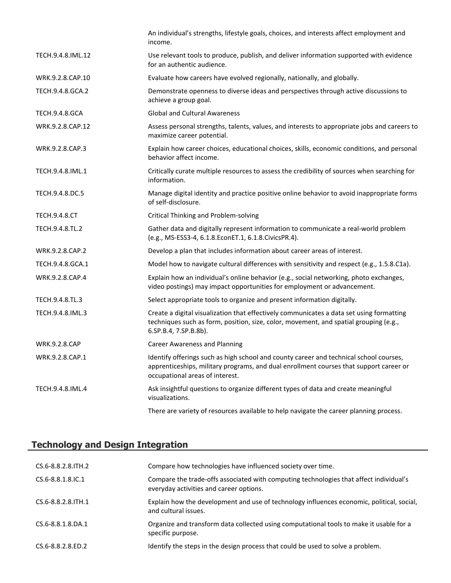|                       | An individual's strengths, lifestyle goals, choices, and interests affect employment and<br>income.                                                                                                                 |
|-----------------------|---------------------------------------------------------------------------------------------------------------------------------------------------------------------------------------------------------------------|
| TECH.9.4.8.IML.12     | Use relevant tools to produce, publish, and deliver information supported with evidence<br>for an authentic audience.                                                                                               |
| WRK.9.2.8.CAP.10      | Evaluate how careers have evolved regionally, nationally, and globally.                                                                                                                                             |
| TECH.9.4.8.GCA.2      | Demonstrate openness to diverse ideas and perspectives through active discussions to<br>achieve a group goal.                                                                                                       |
| <b>TECH.9.4.8.GCA</b> | <b>Global and Cultural Awareness</b>                                                                                                                                                                                |
| WRK.9.2.8.CAP.12      | Assess personal strengths, talents, values, and interests to appropriate jobs and careers to<br>maximize career potential.                                                                                          |
| WRK.9.2.8.CAP.3       | Explain how career choices, educational choices, skills, economic conditions, and personal<br>behavior affect income.                                                                                               |
| TECH.9.4.8.IML.1      | Critically curate multiple resources to assess the credibility of sources when searching for<br>information.                                                                                                        |
| TECH.9.4.8.DC.5       | Manage digital identity and practice positive online behavior to avoid inappropriate forms<br>of self-disclosure.                                                                                                   |
| <b>TECH.9.4.8.CT</b>  | Critical Thinking and Problem-solving                                                                                                                                                                               |
| TECH.9.4.8.TL.2       | Gather data and digitally represent information to communicate a real-world problem<br>(e.g., MS-ESS3-4, 6.1.8.EconET.1, 6.1.8.CivicsPR.4).                                                                         |
| WRK.9.2.8.CAP.2       | Develop a plan that includes information about career areas of interest.                                                                                                                                            |
| TECH.9.4.8.GCA.1      | Model how to navigate cultural differences with sensitivity and respect (e.g., 1.5.8.C1a).                                                                                                                          |
| WRK.9.2.8.CAP.4       | Explain how an individual's online behavior (e.g., social networking, photo exchanges,<br>video postings) may impact opportunities for employment or advancement.                                                   |
| TECH.9.4.8.TL.3       | Select appropriate tools to organize and present information digitally.                                                                                                                                             |
| TECH.9.4.8.IML.3      | Create a digital visualization that effectively communicates a data set using formatting<br>techniques such as form, position, size, color, movement, and spatial grouping (e.g.,<br>6.SP.B.4, 7.SP.B.8b).          |
| <b>WRK.9.2.8.CAP</b>  | <b>Career Awareness and Planning</b>                                                                                                                                                                                |
| WRK.9.2.8.CAP.1       | Identify offerings such as high school and county career and technical school courses,<br>apprenticeships, military programs, and dual enrollment courses that support career or<br>occupational areas of interest. |
| TECH.9.4.8.IML.4      | Ask insightful questions to organize different types of data and create meaningful<br>visualizations.                                                                                                               |
|                       | There are variety of resources available to help navigate the career planning process.                                                                                                                              |
|                       |                                                                                                                                                                                                                     |

# **Technology and Design Integration**

| CS.6-8.8.2.8. TH. 2         | Compare how technologies have influenced society over time.                                                                       |
|-----------------------------|-----------------------------------------------------------------------------------------------------------------------------------|
| CS.6-8.8.1.8.IC.1           | Compare the trade-offs associated with computing technologies that affect individual's<br>everyday activities and career options. |
| $CS.6 - 8.8.2.8$ . ITH $.1$ | Explain how the development and use of technology influences economic, political, social,<br>and cultural issues.                 |
| $CS.6 - 8.8.1.8.DA.1$       | Organize and transform data collected using computational tools to make it usable for a<br>specific purpose.                      |
| CS.6-8.8.2.8.ED.2           | Identify the steps in the design process that could be used to solve a problem.                                                   |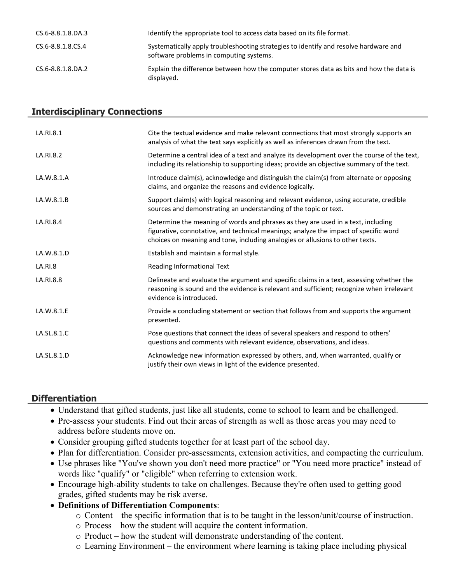| CS.6-8.8.1.8.DA.3 | Identify the appropriate tool to access data based on its file format.                                                          |
|-------------------|---------------------------------------------------------------------------------------------------------------------------------|
| CS.6-8.8.1.8.CS.4 | Systematically apply troubleshooting strategies to identify and resolve hardware and<br>software problems in computing systems. |
| CS.6-8.8.1.8.DA.2 | Explain the difference between how the computer stores data as bits and how the data is<br>displayed.                           |

#### **Interdisciplinary Connections**

| LA.RI.8.1   | Cite the textual evidence and make relevant connections that most strongly supports an<br>analysis of what the text says explicitly as well as inferences drawn from the text.                                                                            |
|-------------|-----------------------------------------------------------------------------------------------------------------------------------------------------------------------------------------------------------------------------------------------------------|
| LA.RI.8.2   | Determine a central idea of a text and analyze its development over the course of the text,<br>including its relationship to supporting ideas; provide an objective summary of the text.                                                                  |
| LA.W.8.1.A  | Introduce claim(s), acknowledge and distinguish the claim(s) from alternate or opposing<br>claims, and organize the reasons and evidence logically.                                                                                                       |
| LA.W.8.1.B  | Support claim(s) with logical reasoning and relevant evidence, using accurate, credible<br>sources and demonstrating an understanding of the topic or text.                                                                                               |
| LA.RI.8.4   | Determine the meaning of words and phrases as they are used in a text, including<br>figurative, connotative, and technical meanings; analyze the impact of specific word<br>choices on meaning and tone, including analogies or allusions to other texts. |
| LA.W.8.1.D  | Establish and maintain a formal style.                                                                                                                                                                                                                    |
| LA.RI.8     | Reading Informational Text                                                                                                                                                                                                                                |
| LA.RI.8.8   | Delineate and evaluate the argument and specific claims in a text, assessing whether the<br>reasoning is sound and the evidence is relevant and sufficient; recognize when irrelevant<br>evidence is introduced.                                          |
| LA.W.8.1.E  | Provide a concluding statement or section that follows from and supports the argument<br>presented.                                                                                                                                                       |
| LA.SL.8.1.C | Pose questions that connect the ideas of several speakers and respond to others'<br>questions and comments with relevant evidence, observations, and ideas.                                                                                               |
| LA.SL.8.1.D | Acknowledge new information expressed by others, and, when warranted, qualify or<br>justify their own views in light of the evidence presented.                                                                                                           |

#### **Differentiation**

- Understand that gifted students, just like all students, come to school to learn and be challenged.
- Pre-assess your students. Find out their areas of strength as well as those areas you may need to address before students move on.
- Consider grouping gifted students together for at least part of the school day.
- Plan for differentiation. Consider pre-assessments, extension activities, and compacting the curriculum.
- Use phrases like "You've shown you don't need more practice" or "You need more practice" instead of words like "qualify" or "eligible" when referring to extension work.
- Encourage high-ability students to take on challenges. Because they're often used to getting good grades, gifted students may be risk averse.
- **Definitions of Differentiation Components**:
	- o Content the specific information that is to be taught in the lesson/unit/course of instruction.
	- o Process how the student will acquire the content information.
	- o Product how the student will demonstrate understanding of the content.
	- o Learning Environment the environment where learning is taking place including physical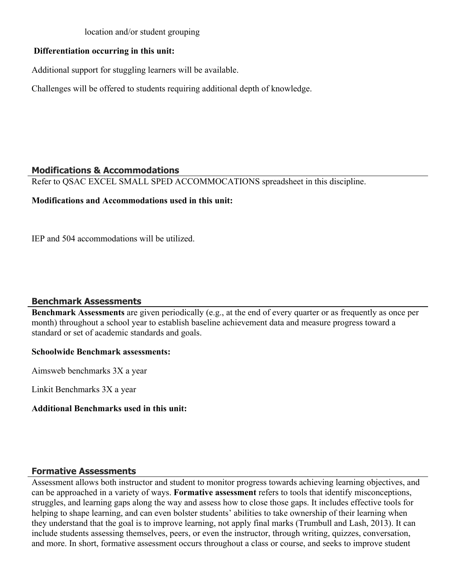#### location and/or student grouping

### **Differentiation occurring in this unit:**

Additional support for stuggling learners will be available.

Challenges will be offered to students requiring additional depth of knowledge.

#### **Modifications & Accommodations**

Refer to QSAC EXCEL SMALL SPED ACCOMMOCATIONS spreadsheet in this discipline.

#### **Modifications and Accommodations used in this unit:**

IEP and 504 accommodations will be utilized.

# **Benchmark Assessments**

**Benchmark Assessments** are given periodically (e.g., at the end of every quarter or as frequently as once per month) throughout a school year to establish baseline achievement data and measure progress toward a standard or set of academic standards and goals.

#### **Schoolwide Benchmark assessments:**

Aimsweb benchmarks 3X a year

Linkit Benchmarks 3X a year

#### **Additional Benchmarks used in this unit:**

# **Formative Assessments**

Assessment allows both instructor and student to monitor progress towards achieving learning objectives, and can be approached in a variety of ways. **Formative assessment** refers to tools that identify misconceptions, struggles, and learning gaps along the way and assess how to close those gaps. It includes effective tools for helping to shape learning, and can even bolster students' abilities to take ownership of their learning when they understand that the goal is to improve learning, not apply final marks (Trumbull and Lash, 2013). It can include students assessing themselves, peers, or even the instructor, through writing, quizzes, conversation, and more. In short, formative assessment occurs throughout a class or course, and seeks to improve student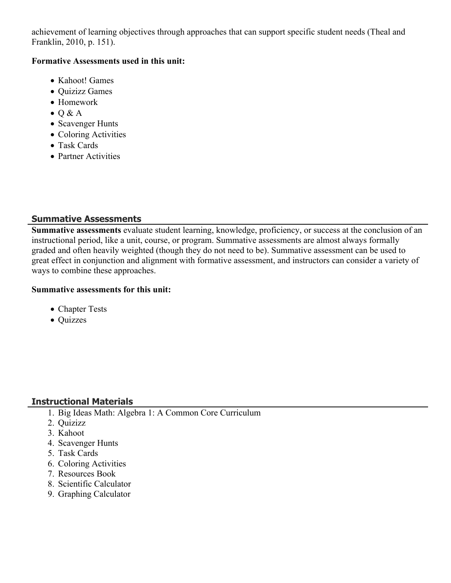achievement of learning objectives through approaches that can support specific student needs (Theal and Franklin, 2010, p. 151).

#### **Formative Assessments used in this unit:**

- Kahoot! Games
- Quizizz Games
- Homework
- $\bullet$  Q & A
- Scavenger Hunts
- Coloring Activities
- Task Cards
- Partner Activities

# **Summative Assessments**

**Summative assessments** evaluate student learning, knowledge, proficiency, or success at the conclusion of an instructional period, like a unit, course, or program. Summative assessments are almost always formally graded and often heavily weighted (though they do not need to be). Summative assessment can be used to great effect in conjunction and alignment with formative assessment, and instructors can consider a variety of ways to combine these approaches.

#### **Summative assessments for this unit:**

- Chapter Tests
- Quizzes

# **Instructional Materials**

- 1. Big Ideas Math: Algebra 1: A Common Core Curriculum
- 2. Quizizz
- 3. Kahoot
- 4. Scavenger Hunts
- 5. Task Cards
- 6. Coloring Activities
- 7. Resources Book
- 8. Scientific Calculator
- 9. Graphing Calculator